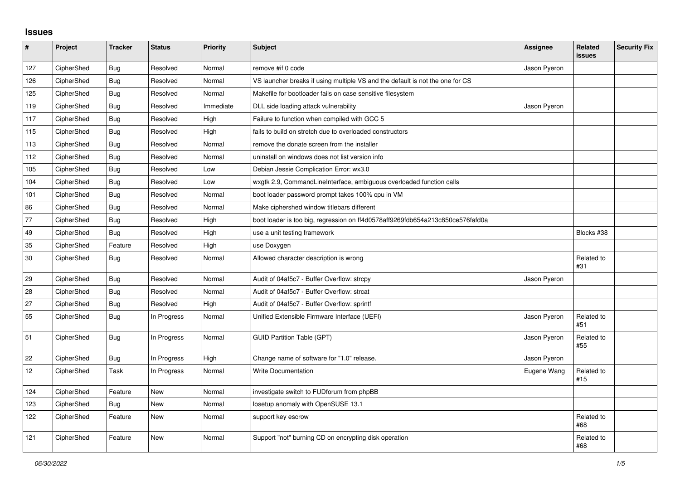## **Issues**

| $\sharp$ | Project    | <b>Tracker</b> | <b>Status</b> | <b>Priority</b> | <b>Subject</b>                                                                 | <b>Assignee</b> | <b>Related</b><br><b>issues</b> | <b>Security Fix</b> |
|----------|------------|----------------|---------------|-----------------|--------------------------------------------------------------------------------|-----------------|---------------------------------|---------------------|
| 127      | CipherShed | <b>Bug</b>     | Resolved      | Normal          | remove #if 0 code                                                              | Jason Pyeron    |                                 |                     |
| 126      | CipherShed | <b>Bug</b>     | Resolved      | Normal          | VS launcher breaks if using multiple VS and the default is not the one for CS  |                 |                                 |                     |
| 125      | CipherShed | <b>Bug</b>     | Resolved      | Normal          | Makefile for bootloader fails on case sensitive filesystem                     |                 |                                 |                     |
| 119      | CipherShed | Bug            | Resolved      | Immediate       | DLL side loading attack vulnerability                                          | Jason Pyeron    |                                 |                     |
| 117      | CipherShed | <b>Bug</b>     | Resolved      | High            | Failure to function when compiled with GCC 5                                   |                 |                                 |                     |
| 115      | CipherShed | <b>Bug</b>     | Resolved      | High            | fails to build on stretch due to overloaded constructors                       |                 |                                 |                     |
| 113      | CipherShed | <b>Bug</b>     | Resolved      | Normal          | remove the donate screen from the installer                                    |                 |                                 |                     |
| 112      | CipherShed | Bug            | Resolved      | Normal          | uninstall on windows does not list version info                                |                 |                                 |                     |
| 105      | CipherShed | <b>Bug</b>     | Resolved      | Low             | Debian Jessie Complication Error: wx3.0                                        |                 |                                 |                     |
| 104      | CipherShed | <b>Bug</b>     | Resolved      | Low             | wxgtk 2.9, CommandLineInterface, ambiguous overloaded function calls           |                 |                                 |                     |
| 101      | CipherShed | Bug            | Resolved      | Normal          | boot loader password prompt takes 100% cpu in VM                               |                 |                                 |                     |
| 86       | CipherShed | <b>Bug</b>     | Resolved      | Normal          | Make ciphershed window titlebars different                                     |                 |                                 |                     |
| 77       | CipherShed | <b>Bug</b>     | Resolved      | High            | boot loader is too big, regression on ff4d0578aff9269fdb654a213c850ce576fafd0a |                 |                                 |                     |
| 49       | CipherShed | <b>Bug</b>     | Resolved      | High            | use a unit testing framework                                                   |                 | Blocks #38                      |                     |
| 35       | CipherShed | Feature        | Resolved      | High            | use Doxygen                                                                    |                 |                                 |                     |
| 30       | CipherShed | <b>Bug</b>     | Resolved      | Normal          | Allowed character description is wrong                                         |                 | Related to<br>#31               |                     |
| 29       | CipherShed | <b>Bug</b>     | Resolved      | Normal          | Audit of 04af5c7 - Buffer Overflow: strcpy                                     | Jason Pyeron    |                                 |                     |
| 28       | CipherShed | Bug            | Resolved      | Normal          | Audit of 04af5c7 - Buffer Overflow: strcat                                     |                 |                                 |                     |
| 27       | CipherShed | <b>Bug</b>     | Resolved      | High            | Audit of 04af5c7 - Buffer Overflow: sprintf                                    |                 |                                 |                     |
| 55       | CipherShed | <b>Bug</b>     | In Progress   | Normal          | Unified Extensible Firmware Interface (UEFI)                                   | Jason Pyeron    | Related to<br>#51               |                     |
| 51       | CipherShed | Bug            | In Progress   | Normal          | <b>GUID Partition Table (GPT)</b>                                              | Jason Pyeron    | Related to<br>#55               |                     |
| 22       | CipherShed | Bug            | In Progress   | High            | Change name of software for "1.0" release.                                     | Jason Pyeron    |                                 |                     |
| 12       | CipherShed | Task           | In Progress   | Normal          | <b>Write Documentation</b>                                                     | Eugene Wang     | Related to<br>#15               |                     |
| 124      | CipherShed | Feature        | New           | Normal          | investigate switch to FUDforum from phpBB                                      |                 |                                 |                     |
| 123      | CipherShed | <b>Bug</b>     | New           | Normal          | losetup anomaly with OpenSUSE 13.1                                             |                 |                                 |                     |
| 122      | CipherShed | Feature        | <b>New</b>    | Normal          | support key escrow                                                             |                 | Related to<br>#68               |                     |
| 121      | CipherShed | Feature        | New           | Normal          | Support "not" burning CD on encrypting disk operation                          |                 | Related to<br>#68               |                     |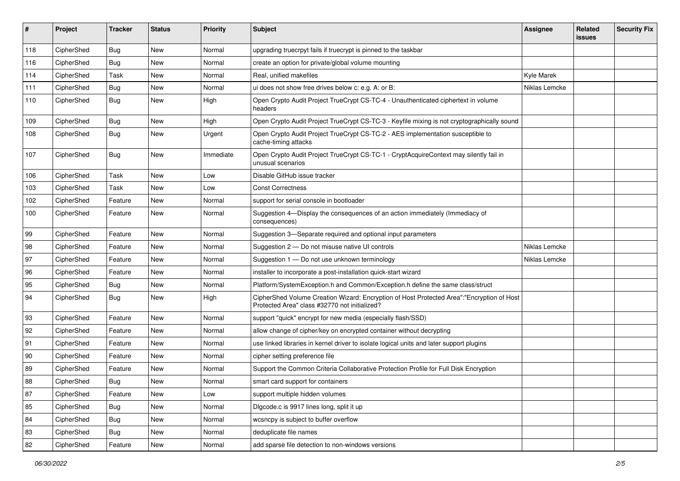| #   | Project    | <b>Tracker</b> | <b>Status</b> | <b>Priority</b> | Subject                                                                                                                                    | Assignee      | Related<br>issues | <b>Security Fix</b> |
|-----|------------|----------------|---------------|-----------------|--------------------------------------------------------------------------------------------------------------------------------------------|---------------|-------------------|---------------------|
| 118 | CipherShed | <b>Bug</b>     | New           | Normal          | upgrading truecrpyt fails if truecrypt is pinned to the taskbar                                                                            |               |                   |                     |
| 116 | CipherShed | Bug            | New           | Normal          | create an option for private/global volume mounting                                                                                        |               |                   |                     |
| 114 | CipherShed | Task           | New           | Normal          | Real, unified makefiles                                                                                                                    | Kyle Marek    |                   |                     |
| 111 | CipherShed | <b>Bug</b>     | New           | Normal          | ui does not show free drives below c: e.g. A: or B:                                                                                        | Niklas Lemcke |                   |                     |
| 110 | CipherShed | Bug            | New           | High            | Open Crypto Audit Project TrueCrypt CS-TC-4 - Unauthenticated ciphertext in volume<br>headers                                              |               |                   |                     |
| 109 | CipherShed | <b>Bug</b>     | New           | High            | Open Crypto Audit Project TrueCrypt CS-TC-3 - Keyfile mixing is not cryptographically sound                                                |               |                   |                     |
| 108 | CipherShed | <b>Bug</b>     | New           | Urgent          | Open Crypto Audit Project TrueCrypt CS-TC-2 - AES implementation susceptible to<br>cache-timing attacks                                    |               |                   |                     |
| 107 | CipherShed | <b>Bug</b>     | New           | Immediate       | Open Crypto Audit Project TrueCrypt CS-TC-1 - CryptAcquireContext may silently fail in<br>unusual scenarios                                |               |                   |                     |
| 106 | CipherShed | Task           | <b>New</b>    | Low             | Disable GitHub issue tracker                                                                                                               |               |                   |                     |
| 103 | CipherShed | Task           | New           | Low             | <b>Const Correctness</b>                                                                                                                   |               |                   |                     |
| 102 | CipherShed | Feature        | <b>New</b>    | Normal          | support for serial console in bootloader                                                                                                   |               |                   |                     |
| 100 | CipherShed | Feature        | New           | Normal          | Suggestion 4-Display the consequences of an action immediately (Immediacy of<br>consequences)                                              |               |                   |                     |
| 99  | CipherShed | Feature        | New           | Normal          | Suggestion 3-Separate required and optional input parameters                                                                               |               |                   |                     |
| 98  | CipherShed | Feature        | New           | Normal          | Suggestion 2 - Do not misuse native UI controls                                                                                            | Niklas Lemcke |                   |                     |
| 97  | CipherShed | Feature        | New           | Normal          | Suggestion 1 - Do not use unknown terminology                                                                                              | Niklas Lemcke |                   |                     |
| 96  | CipherShed | Feature        | New           | Normal          | installer to incorporate a post-installation quick-start wizard                                                                            |               |                   |                     |
| 95  | CipherShed | <b>Bug</b>     | New           | Normal          | Platform/SystemException.h and Common/Exception.h define the same class/struct                                                             |               |                   |                     |
| 94  | CipherShed | <b>Bug</b>     | New           | High            | CipherShed Volume Creation Wizard: Encryption of Host Protected Area":"Encryption of Host<br>Protected Area" class #32770 not initialized? |               |                   |                     |
| 93  | CipherShed | Feature        | New           | Normal          | support "quick" encrypt for new media (especially flash/SSD)                                                                               |               |                   |                     |
| 92  | CipherShed | Feature        | New           | Normal          | allow change of cipher/key on encrypted container without decrypting                                                                       |               |                   |                     |
| 91  | CipherShed | Feature        | New           | Normal          | use linked libraries in kernel driver to isolate logical units and later support plugins                                                   |               |                   |                     |
| 90  | CipherShed | Feature        | New           | Normal          | cipher setting preference file                                                                                                             |               |                   |                     |
| 89  | CipherShed | Feature        | New           | Normal          | Support the Common Criteria Collaborative Protection Profile for Full Disk Encryption                                                      |               |                   |                     |
| 88  | CipherShed | Bug            | <b>New</b>    | Normal          | smart card support for containers                                                                                                          |               |                   |                     |
| 87  | CipherShed | Feature        | New           | Low             | support multiple hidden volumes                                                                                                            |               |                   |                     |
| 85  | CipherShed | Bug            | New           | Normal          | Digcode.c is 9917 lines long, split it up                                                                                                  |               |                   |                     |
| 84  | CipherShed | <b>Bug</b>     | New           | Normal          | wcsncpy is subject to buffer overflow                                                                                                      |               |                   |                     |
| 83  | CipherShed | <b>Bug</b>     | New           | Normal          | deduplicate file names                                                                                                                     |               |                   |                     |
| 82  | CipherShed | Feature        | New           | Normal          | add sparse file detection to non-windows versions                                                                                          |               |                   |                     |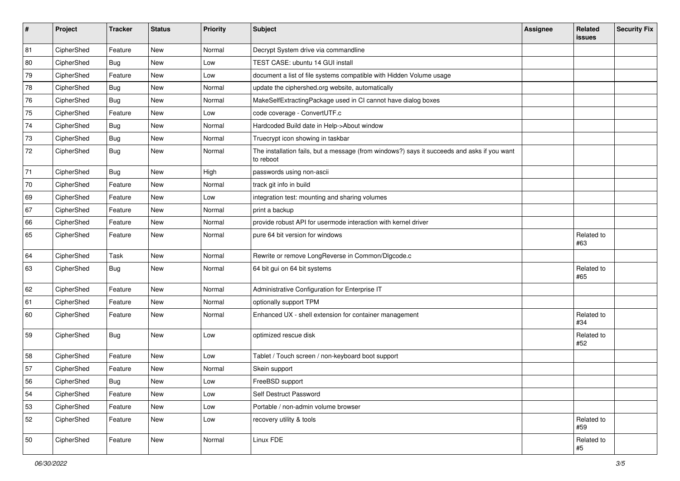| $\pmb{\#}$ | Project    | <b>Tracker</b> | <b>Status</b> | <b>Priority</b> | <b>Subject</b>                                                                                           | <b>Assignee</b> | <b>Related</b><br><b>issues</b> | <b>Security Fix</b> |
|------------|------------|----------------|---------------|-----------------|----------------------------------------------------------------------------------------------------------|-----------------|---------------------------------|---------------------|
| 81         | CipherShed | Feature        | New           | Normal          | Decrypt System drive via commandline                                                                     |                 |                                 |                     |
| 80         | CipherShed | <b>Bug</b>     | <b>New</b>    | Low             | TEST CASE: ubuntu 14 GUI install                                                                         |                 |                                 |                     |
| 79         | CipherShed | Feature        | New           | Low             | document a list of file systems compatible with Hidden Volume usage                                      |                 |                                 |                     |
| 78         | CipherShed | <b>Bug</b>     | New           | Normal          | update the ciphershed.org website, automatically                                                         |                 |                                 |                     |
| 76         | CipherShed | <b>Bug</b>     | <b>New</b>    | Normal          | MakeSelfExtractingPackage used in CI cannot have dialog boxes                                            |                 |                                 |                     |
| $75\,$     | CipherShed | Feature        | New           | Low             | code coverage - ConvertUTF.c                                                                             |                 |                                 |                     |
| 74         | CipherShed | <b>Bug</b>     | New           | Normal          | Hardcoded Build date in Help->About window                                                               |                 |                                 |                     |
| 73         | CipherShed | <b>Bug</b>     | <b>New</b>    | Normal          | Truecrypt icon showing in taskbar                                                                        |                 |                                 |                     |
| 72         | CipherShed | <b>Bug</b>     | New           | Normal          | The installation fails, but a message (from windows?) says it succeeds and asks if you want<br>to reboot |                 |                                 |                     |
| 71         | CipherShed | <b>Bug</b>     | <b>New</b>    | High            | passwords using non-ascii                                                                                |                 |                                 |                     |
| 70         | CipherShed | Feature        | <b>New</b>    | Normal          | track git info in build                                                                                  |                 |                                 |                     |
| 69         | CipherShed | Feature        | New           | Low             | integration test: mounting and sharing volumes                                                           |                 |                                 |                     |
| 67         | CipherShed | Feature        | <b>New</b>    | Normal          | print a backup                                                                                           |                 |                                 |                     |
| 66         | CipherShed | Feature        | New           | Normal          | provide robust API for usermode interaction with kernel driver                                           |                 |                                 |                     |
| 65         | CipherShed | Feature        | New           | Normal          | pure 64 bit version for windows                                                                          |                 | Related to<br>#63               |                     |
| 64         | CipherShed | Task           | <b>New</b>    | Normal          | Rewrite or remove LongReverse in Common/Dlgcode.c                                                        |                 |                                 |                     |
| 63         | CipherShed | <b>Bug</b>     | New           | Normal          | 64 bit gui on 64 bit systems                                                                             |                 | Related to<br>#65               |                     |
| 62         | CipherShed | Feature        | <b>New</b>    | Normal          | Administrative Configuration for Enterprise IT                                                           |                 |                                 |                     |
| 61         | CipherShed | Feature        | <b>New</b>    | Normal          | optionally support TPM                                                                                   |                 |                                 |                     |
| 60         | CipherShed | Feature        | New           | Normal          | Enhanced UX - shell extension for container management                                                   |                 | Related to<br>#34               |                     |
| 59         | CipherShed | <b>Bug</b>     | <b>New</b>    | Low             | optimized rescue disk                                                                                    |                 | Related to<br>#52               |                     |
| 58         | CipherShed | Feature        | New           | Low             | Tablet / Touch screen / non-keyboard boot support                                                        |                 |                                 |                     |
| 57         | CipherShed | Feature        | New           | Normal          | Skein support                                                                                            |                 |                                 |                     |
| 56         | CipherShed | Bug            | New           | Low             | FreeBSD support                                                                                          |                 |                                 |                     |
| 54         | CipherShed | Feature        | New           | Low             | Self Destruct Password                                                                                   |                 |                                 |                     |
| 53         | CipherShed | Feature        | New           | Low             | Portable / non-admin volume browser                                                                      |                 |                                 |                     |
| 52         | CipherShed | Feature        | New           | Low             | recovery utility & tools                                                                                 |                 | Related to<br>#59               |                     |
| 50         | CipherShed | Feature        | New           | Normal          | Linux FDE                                                                                                |                 | Related to<br>#5                |                     |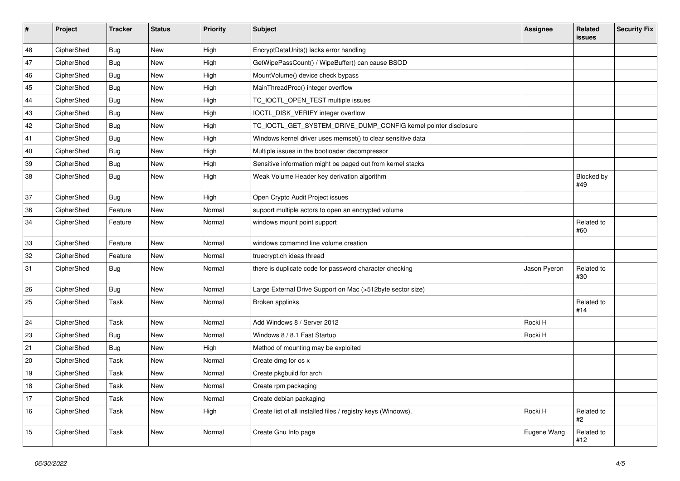| $\vert$ # | Project    | <b>Tracker</b> | <b>Status</b> | Priority | <b>Subject</b>                                                  | <b>Assignee</b> | <b>Related</b><br>issues | <b>Security Fix</b> |
|-----------|------------|----------------|---------------|----------|-----------------------------------------------------------------|-----------------|--------------------------|---------------------|
| 48        | CipherShed | <b>Bug</b>     | <b>New</b>    | High     | EncryptDataUnits() lacks error handling                         |                 |                          |                     |
| 47        | CipherShed | Bug            | New           | High     | GetWipePassCount() / WipeBuffer() can cause BSOD                |                 |                          |                     |
| 46        | CipherShed | <b>Bug</b>     | New           | High     | MountVolume() device check bypass                               |                 |                          |                     |
| 45        | CipherShed | Bug            | New           | High     | MainThreadProc() integer overflow                               |                 |                          |                     |
| 44        | CipherShed | Bug            | New           | High     | TC_IOCTL_OPEN_TEST multiple issues                              |                 |                          |                     |
| 43        | CipherShed | <b>Bug</b>     | New           | High     | IOCTL_DISK_VERIFY integer overflow                              |                 |                          |                     |
| 42        | CipherShed | <b>Bug</b>     | New           | High     | TC_IOCTL_GET_SYSTEM_DRIVE_DUMP_CONFIG kernel pointer disclosure |                 |                          |                     |
| 41        | CipherShed | <b>Bug</b>     | New           | High     | Windows kernel driver uses memset() to clear sensitive data     |                 |                          |                     |
| 40        | CipherShed | <b>Bug</b>     | New           | High     | Multiple issues in the bootloader decompressor                  |                 |                          |                     |
| 39        | CipherShed | <b>Bug</b>     | New           | High     | Sensitive information might be paged out from kernel stacks     |                 |                          |                     |
| 38        | CipherShed | <b>Bug</b>     | New           | High     | Weak Volume Header key derivation algorithm                     |                 | Blocked by<br>#49        |                     |
| 37        | CipherShed | <b>Bug</b>     | New           | High     | Open Crypto Audit Project issues                                |                 |                          |                     |
| 36        | CipherShed | Feature        | New           | Normal   | support multiple actors to open an encrypted volume             |                 |                          |                     |
| 34        | CipherShed | Feature        | New           | Normal   | windows mount point support                                     |                 | Related to<br>#60        |                     |
| 33        | CipherShed | Feature        | <b>New</b>    | Normal   | windows comamnd line volume creation                            |                 |                          |                     |
| 32        | CipherShed | Feature        | New           | Normal   | truecrypt.ch ideas thread                                       |                 |                          |                     |
| 31        | CipherShed | <b>Bug</b>     | New           | Normal   | there is duplicate code for password character checking         | Jason Pyeron    | Related to<br>#30        |                     |
| 26        | CipherShed | Bug            | New           | Normal   | Large External Drive Support on Mac (>512byte sector size)      |                 |                          |                     |
| 25        | CipherShed | Task           | New           | Normal   | Broken applinks                                                 |                 | Related to<br>#14        |                     |
| 24        | CipherShed | Task           | <b>New</b>    | Normal   | Add Windows 8 / Server 2012                                     | Rocki H         |                          |                     |
| 23        | CipherShed | <b>Bug</b>     | New           | Normal   | Windows 8 / 8.1 Fast Startup                                    | Rocki H         |                          |                     |
| 21        | CipherShed | <b>Bug</b>     | New           | High     | Method of mounting may be exploited                             |                 |                          |                     |
| 20        | CipherShed | Task           | New           | Normal   | Create dmg for os x                                             |                 |                          |                     |
| 19        | CipherShed | Task           | <b>New</b>    | Normal   | Create pkgbuild for arch                                        |                 |                          |                     |
| 18        | CipherShed | Task           | New           | Normal   | Create rpm packaging                                            |                 |                          |                     |
| 17        | CipherShed | Task           | New           | Normal   | Create debian packaging                                         |                 |                          |                     |
| 16        | CipherShed | Task           | New           | High     | Create list of all installed files / registry keys (Windows).   | Rocki H         | Related to<br>#2         |                     |
| 15        | CipherShed | Task           | New           | Normal   | Create Gnu Info page                                            | Eugene Wang     | Related to<br>#12        |                     |